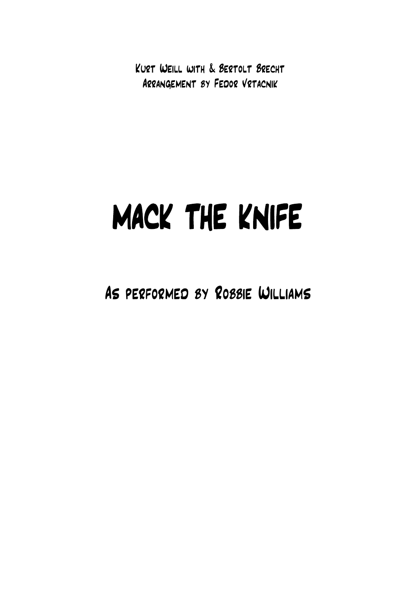Kurt Weill with & Bertolt Brecht Arrangement by Fedor Vrtacnik

## MACK THE KNIFE

As performed by Robbie Williams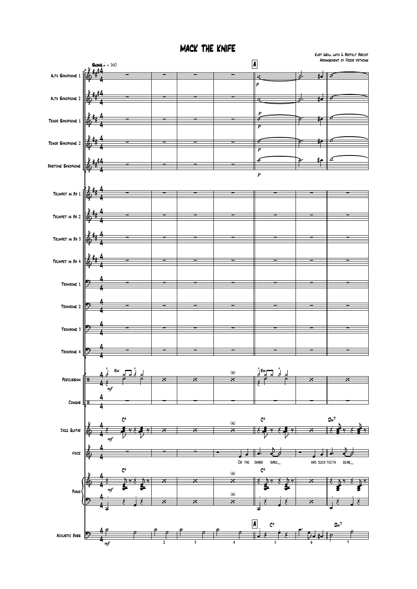MACK THE KNIFE

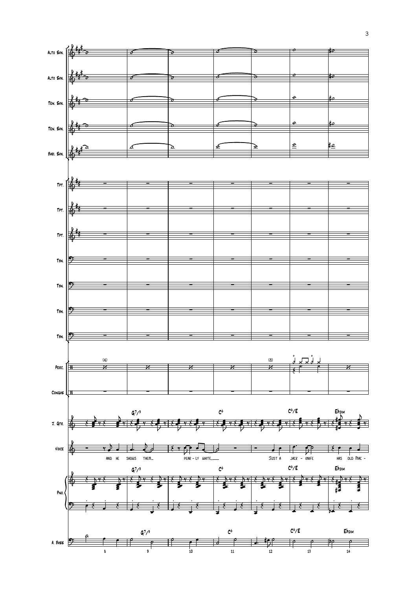